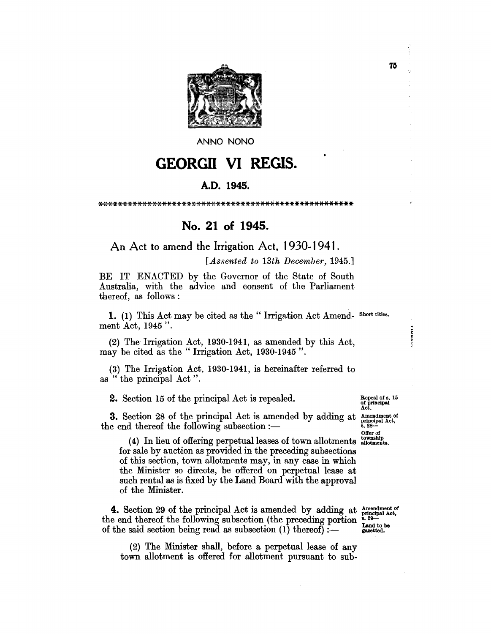

**ANNO NONO** 

## **GEORGII VI REGIS.**

## A.D. 1945.

\*\*\*\*\*\*\*\*\*\*i<-\*\*\*\*\*\*\*\*\*\*\*\*\*\*\*\*\*\*\*\*\*\*\*\*'\*\*\*\*\*\*\*\*\*\*\*\*\*\*\*\*\*

## No. 21 of 1945.

An Act to amend the Irrigation Act, 1930-1941.

*[Assented to 13th December, 1945.]* 

BE IT ENACTED by the Governor of the State of South Australia, with the advice and consent of the Parliament thereof, as follows:

1. (1) This Act may be cited as the "Irrigation Act Amend- Short titles. ment Act, 1945".

(2) The Irrigation Act, 1930-1941, as amended by this Act, may be cited as the "Irrigation Act, 1930-1945".

(3) The Irrigation Act, 1930-1941, is hereinafter referred to as " the principal Act".

2. Section 15 of the principal Act is repealed.

**3.** Section 28 of the principal Act is amended by adding at  $\frac{\text{Amendment of}}{\text{a. } 28 \text{ m.}}$ 

 $(4)$  In lieu of offering perpetual leases of town allotments  $_{\text{allotments}}^{\text{township}}$ for sale by auction as provided in the preceding subsections of this section, town allotments may, in any case in which the Minister so directs, be offered on perpetual lease at such rental as is fixed by the Land Board with the approval of the Minister.

4. Section 29 of the principal Act is amended by adding at Amendment of the end thereof the following subsection (the preceding portion  $\frac{2}{3}$ ,  $\frac{29}{2}$  and to be of the said section being read as subsection  $(1)$  thereof) :-  $\ldots$ 

(2) The Minister shall, before a perpetual lease of any town allotment is offered for allotment pursuant to sub-

Repeal of s. 15<br>of principal<br>Act.

**Likealie** 

Offer of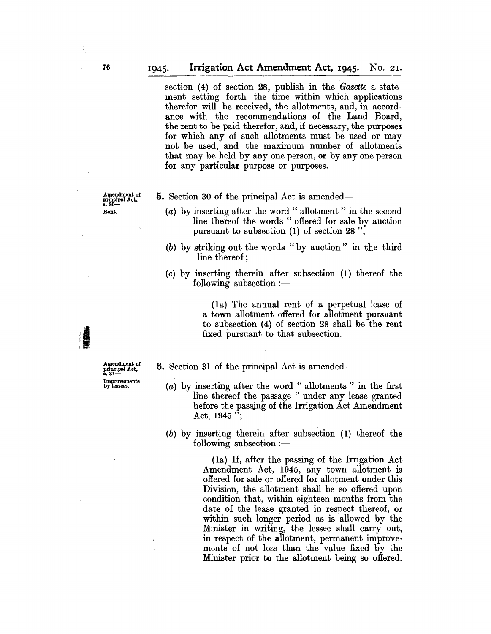section (4) of section 28, publish in. the *Gazette* a state ment setting forth the time within which applications therefor will be received, the allotments, and, in accordance with the recommendations of the Land Board, the rent to be paid therefor, and, if necessary, the purposes for which any of such allotments must be used or may not be used, and the maximum number of allotments that may be held by anyone person, or by anyone person for any particular purpose or purposes.

Amendment of<br>principal Act,<br>s. 30— Rent.

- **5.** Section 30 of the principal Act is amended—
	- (a) by inserting after the word " allotment " in the second line thereof the words" offered for sale by auction pursuant to subsection (1) of section 28 ";
	- (b) by striking out the words "by auction" in the third line thereof;
	- (c) by inserting therein after subsection (1) thereof the  $following$  subsection : $-$

(la) The annual rent of a perpetual lease of a town allotment offered for allotment pursuant to subsection (4) of section 28 shall be the rent fixed pursuant to that subsection.

**6.** Section 31 of the principal Act is amended—

- (a) by inserting after the word " allotments " in the first line thereof the passage " under any lease granted before the passing of the Irrigation Act Amendment Act,  $1945$  ";
- $(b)$  by inserting therein after subsection  $(1)$  thereof the following subsection  $:$

(la) If, after the passing of the Irrigation Act Amendment Act, 1945, any town allotment is offered for sale or offered for allotment under this Division, the allotment shall be so offered upon condition that, within eighteen months from the date of the lease granted in respect thereof, or within such longer period as is allowed by the Minister in writing, the lessee shall carry out, in respect of the allotment, permanent improvements of not less than the value fixed by the Minister prior to the allotment being so offered.

Amendment of principal Act, a.31- Improvemen**ts**<br>by lessees.

JI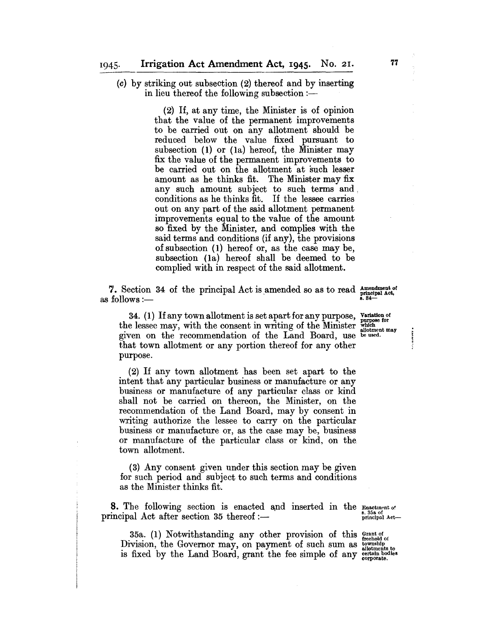(c) by striking out subsection (2) thereof and by inserting in lieu thereof the following subsection :-

> (2) If, at any time, the Minister is of opinion that the value of the permanent improvements to be carried out on any allotment should be reduced below the value fixed pursuant to subsection (1) or (la) hereof, the Minister may fix the value of the permanent improvements to be carried out on the allotment at such lesser amount as he thinks fit. The Minister may fix any such amount subject to such terms and, conditions as he thinks fit. If the lessee carries out on any part of the said allotment permanent improvements equal to the value of the amount so fixed by the Minister, and complies with the said terms and conditions (if any), the provisions of subsection (1) hereof or, as the case may be, subsection (la) hereof shall be deemed to be complied with in respect of the said allotment.

7. Section 34 of the principal Act is amended so as to read  $_{\text{principal Act.}}^{\text{amendment of}}$ <br>as follows :—

34. (1) If any town allotment is set apart for any purpose, variation of the lessee may, with the consent in writing of the Minister  $_{\text{which}}^{\text{with}}$ the lessee may, with the consent in writing of the Minister whomen may given on the recommendation of the Land Board, use be used. that town allotment or any portion thereof for any other purpose.

(2) If any town allotment has been set apart to the intent that any particular business or manufacture or any business or manufacture of any particular class or kind shall not be carried on thereon, the Minister, on the recommendation of the Land Board, may by consent in writing authorize the lessee to carry on the particular business or manufacture or, as the case may be, business or manufacture of the particular class or kind, on the town allotment.

(3) Any consent given under this section may be given for such period and subject to such terms and conditions as the Minister thinks fit.

**8.** The following section is enacted and inserted in the  $\frac{1}{s}$  s. 35a of principal Act after section 35 thereof :-

35a. (1) Notwithstanding any other provision of this  $_{\text{freehold of}}^{\text{Grant of}}$ 

Division, the Governor may, on payment of such sum as  $\frac{\text{downship}}{\text{allotments to}}$ is fixed by the Land Board, grant the fee simple of any certain bodies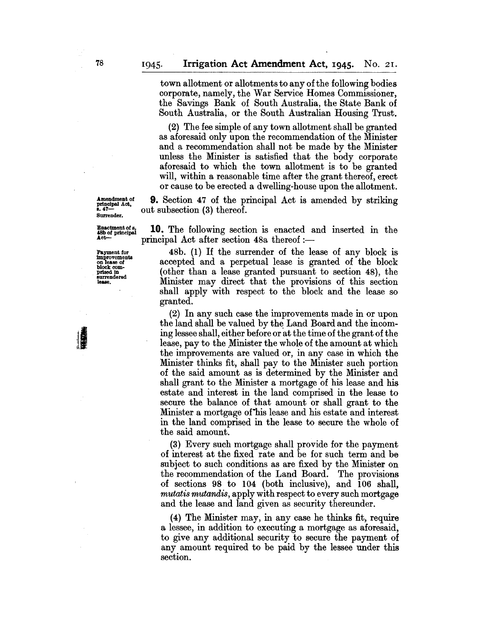town allotment or allotments to any of the following bodies corporate, namely, the War Service Homes Commissioner, the Savings Bank of South Australia, the State Bank of South Australia, or the South Australian Housing Trust.

(2) The fee simple of any town allotment shall be granted as aforesaid only upon the recommendation of the Minister and a recommendation shall not be made by the Minister unless the Minister is satisfied that the body corporate aforesaid to which the town allotment is to be granted will, within a reasonable time after the grant thereof, erect or cause to be erected a dwelling-house upon the allotment.

9. Section 47 of the principal Act is amended by striking out subsection (3) thereof.

Enactment of 8. **10.** The following section is enacted and inserted in the 48b of principal  $A$  ot often geotion 480 thereof.  $principal$  Act after section 48a thereof :-

Payment for 48b. (1) If the surrender of the lease of any block is accepted and a perpetual lease is granted of the block (other than a lease granted pursuant to section 48), the Minister may direct that the provisions of this section shall apply with respect to the block and the lease so granted.

> (2) In any such case the improvements made in or upon the land shall be valued by the Land Board and the incoming lessee shall, either before or at the time of the grant of the lease, pay to the Minister the whole of the amount at which the improvements are valued or, in any case in which the Minister thinks fit, shall pay to the Minister such portion of the said amount as is determined by the Minister and shall grant to the Minister a mortgage of his lease and his estate and interest in the land comprised in the lease to secure the balance of that amount or shall grant to the Minister a mortgage of his lease and his estate and interest in the land comprised in the lease to secure the whole of the said amount.

> (3) Every such mortgage shall provide for the payment of interest at the fixed rate and be for such term and be subject to such conditions as are fixed by the Minister on the recommendation of the Land Board. The provisions of sections 98 to 104 (both inclusive), and 106 shall, *mutatis mutandis,* apply with respect to every such mortgage and the lease and land given as security thereunder.

> (4) The Minister may, in any case he thinks fit, require a lessee, in addition to executing a mortgage as aforesaid, to give any additional security to secure the payment of any amount required to be paid by the lessee under this section.

Amendment of principal Act, 8.47- Surrender.

improvements<br>on lease of<br>block com-<br>prised in surrendered<br>lease.

JI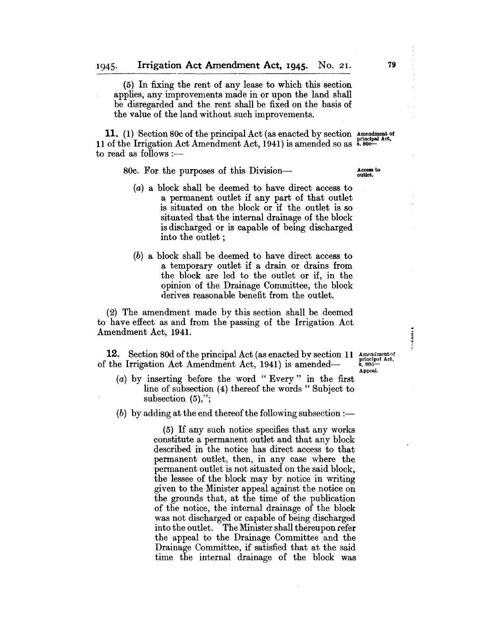(5) In fixing the rent of any lease to which this section applies, any improvements made in or upon the land shall be disregarded and the rent shall be fixed on the basis of the value of the land without such improvements.

**11.** (1) Section 80c of the principal Act (as enacted by section 11 of the Irrigation Act Amendment Act, 1941) is amended so as to read as follows :—

80c. For the purposes of this Division-

- (a) a block shall be deemed to have direct access to a permanent outlet if any part of that outlet is situated on the block or if the outlet is so situated that the internal drainage of the block is discharged or is capable of being discharged into the outlet;
- (b) a block shall be deemed to have direct access to a temporary outlet if a drain or drains from the block are led to the outlet or if, in the opinion of the Drainage Committee, the block derives reasonable benefit from the outlet.

(2) The amendment made by this section shall be deemed to have effect as and from the passing of the Irrigation Act Amendment Act, 1941.

12. Section 80d of the principal Act (as enacted by section 11 of the Irrigation Act Amendment Act, 1941) is amended-

- (a) by inserting before the word "Every" in the first line of subsection (4) thereof the words "Subject to subsection  $(5)$ ,";
- (b) by adding at the end thereof the following subsection  $:$

(5) If any such notice specifies that any works constitute a permanent outlet and that any block described in the notice has direct access to that permanent outlet, then, in any case where the permanent outlet is not situated on the said block, the lessee of the block may by notice in writing given to the Minister appeal against the notice on the grounds that, at the time of the publication of the notice, the internal drainage of the block was not discharged or capable of being discharged into the outlet. The Minister shall thereupon refer the appeal to the Drainage Committee and the Drainage Committee, if satisfied that at the said time the internal drainage of the block was

Amendmentof<br>principal Act,<br>s. 80d---Appeal.

**VARANT** 

Access to outlet.

Amendment of<br>principal Act,<br>s. 80c---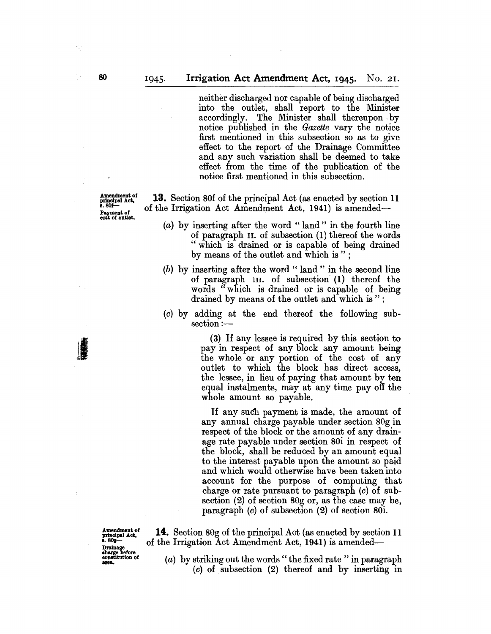neither discharged nor capable of being discharged into the outlet, shall report to the Minister accordingly. The Minister shall thereupon by notice published in the *Gazette* vary the notice first mentioned in this subsection so as to give effect to the report of the Drainage Committee and any such variation shall be deemed to take effect from the time of the publication of the notice first mentioned in this subsection.

13. Section 80f of the principal Act (as enacted by section 11 of the Irrigation Act Amendment Act, 1941) is amended-

- (a) by inserting after the word "land" in the fourth line of paragraph II. of subsection (1) thereof the words "which is drained or is capable of being drained by means of the outlet and which is";
- (b) by inserting after the word " land" in the second line of paragraph III. of subsection (1) thereof the words" which is drained or is capable of being drained by means of the outlet and which is";
- (c) by adding at the end thereof the following subsection:-

(3) If any lessee is required by this section to pay in respect of any block any amount being the whole or any portion of the cost of any outlet to which the block has direct access, the lessee, in lieu of paying that amount by ten equal instalments, may at any time payoff the whole amount so payable.

If any such payment is made, the amount of any annual charge payable under section 80g in respect of the block or the amount of any drainage rate payable under section 80i in respect of the block, shall be reduced by an amount equal to the interest payable upon the amount so paid and which would otherwise have been taken into account for the purpose of computing that charge or rate pursuant to paragraph (c) of subsection (2) of section 80g or, as the case may be, paragraph (c) of subsection (2) of section 80i.

Amendment of principal Act,<br>s. 80g-Drainage<br>charge before<br>constitution of<br>area.

of the Irrigation Act Amendment Act, 1941) is amended-

14. Section 80g of the principal Act (as enacted by section 11

(a) by striking out the words " the fixed rate" in paragraph (c) of subsection (2) thereof and by inserting in

Amendment of<br>principal Act,<br>s. 80f— Payment of eoat of outlet.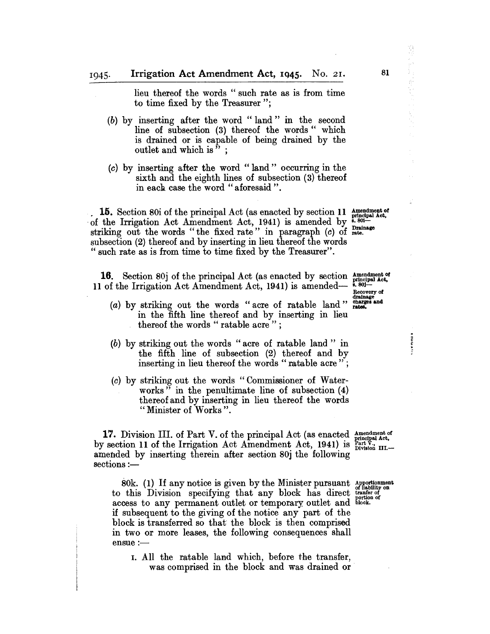lieu thereof the words " such rate as is from time to time fixed by the Treasurer";

- (b) by inserting after the word" land" in the second line of subsection (3) thereof the words " which is drained or is capable of being drained by the outlet and which is" ;
- (c) by inserting after the word" land" occurring in the sixth and the eighth lines of subsection (3) thereof in each case the word "aforesaid".

. 15. Section 80i of the principal Act (as enacted by section 11  $_{\text{orthcipal Act}}^{\text{Amendment of}}$ of the Irrigation Act Amendment Act, 1941) is amended by  $\frac{8.801}{8.801}$ striking out the words "the fixed rate" in paragraph  $(c)$  of  $_{\text{rate}}^{\text{Drating}}$ subsection (2) thereof and by inserting in lieu thereof the words " such rate as is from time to time fixed by the Treasurer".

**16.** Section 80j of the principal Act (as enacted by section  $_{\text{principal Act}}^{\text{Anendment of}}$  of the Irrigation Act Amendment Act 1941) is amended— $_{\text{B}}$ .801– 11 of the Irrigation Act Amendment Act, 1941) is amended-

- $(a)$  by striking out the words "acre of ratable land" in the fifth line thereof and by inserting in lieu thereof the words " ratable acre";
- (b) by striking out the words" acre of ratable land" in the fifth line of subsection (2) thereof and by inserting in lieu thereof the words "ratable acre";
- (c) by striking out the words" Commissioner of Waterworks" in the penultimate line of subsection (4) thereof and by inserting in lieu thereof the words " Minister of Works".

17. Division III. of Part V. of the principal Act (as enacted  $_{principal Act.}^{Anendment of}$ by section 11 of the Irrigation Act Amendment Act, 1941) is  $\frac{\text{Part } \hat{V}}{\text{Division III.}}$  amended by inserting therein after section 80j the following amended by inserting therein after section 80j the following sections :-

80k. (1) If any notice is given by the Minister pursuant Apportionment to this Division specifying that any block has direct  $_{\text{non-then of}}^{\text{of the number of}}$ access to any permanent outlet or temporary outlet and block. if subsequent to the giving of the notice any part of the block is transferred so that the block is then comprised in two or more leases, the following consequences shall ensue :-

1. All the ratable land which, before the transfer, was comprised in the block and was drained or

Recovery of<br>drainage<br>charges and<br>rates.

81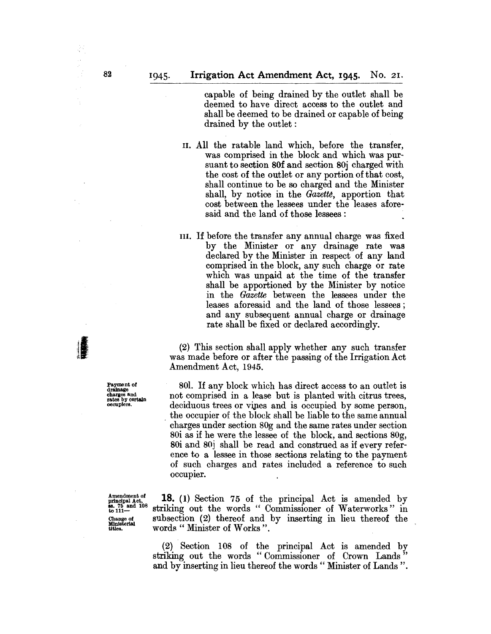capable of being drained by the outlet shall be deemed to have direct access to the outlet and shall be deemed to be drained or capable of being drained by the outlet:

II. All the ratable land which, before the transfer, was comprised in the block and which was pursuant to section 80f and section 80j charged with the cost of the outlet or any portion of that cost, shall continue to be so charged and the Minister shall, by notice in the Gazette, apportion that cost between the lessees under the leases aforesaid and the land of those lessees:

III. If before the transfer any annual charge was fixed by the Minister or any drainage rate was declared by the Minister in respect of any land comprised in the block, any such charge or rate which was unpaid at the time of the transfer shall be apportioned by the Minister by notice in the *Gazette* between the lessees under the leases aforesaid and the land of those lessees; and any subsequent annual charge or drainage rate shall be fixed or declared accordingly.

(2) This section shall apply whether any such transfer was made before or after the passing of the Irrigation Act Amendment Act, 1945.

801. If any block which has direct access to an outlet is not comprised in a lease but is planted with citrus trees, deciduous trees or vines and is occupied by some person, . the occupier of the block shall be liable to the same annual charges under section 80g and the same rates under section 80i as if he were the lessee of the block, and sections 80g, 80i and 80j shall be read and construed as if every reference to a lessee in those sections relating to the payment of such charges and rates included a reference to such occupier.

**18.** (1) Section 75 of the principal Act is amended by striking out the words " Commissioner of Waterworks" in subsection (2) thereof and by inserting in lieu thereof the words " Minister of Works".

(2) Section 108 of the principal Act is amended by striking out the words "Commissioner of Crown Lands" and by inserting in lieu thereof the words " Minister of Lands ".

Payment of drainage charges and rates by certain occupiers.

Amendment of<br>principal Act,<br>ss. 75 and 108<br>to 111-Change of Ministerial titles.